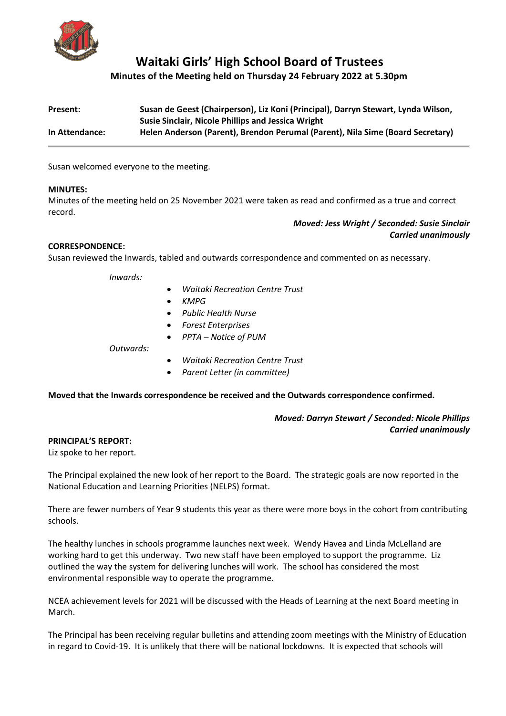

# **Waitaki Girls' High School Board of Trustees**

**Minutes of the Meeting held on Thursday 24 February 2022 at 5.30pm**

| Present:       | Susan de Geest (Chairperson), Liz Koni (Principal), Darryn Stewart, Lynda Wilson, |
|----------------|-----------------------------------------------------------------------------------|
|                | <b>Susie Sinclair, Nicole Phillips and Jessica Wright</b>                         |
| In Attendance: | Helen Anderson (Parent), Brendon Perumal (Parent), Nila Sime (Board Secretary)    |

Susan welcomed everyone to the meeting.

## **MINUTES:**

Minutes of the meeting held on 25 November 2021 were taken as read and confirmed as a true and correct record.

# *Moved: Jess Wright / Seconded: Susie Sinclair Carried unanimously*

# **CORRESPONDENCE:**

Susan reviewed the Inwards, tabled and outwards correspondence and commented on as necessary.

*Inwards:* 

- *Waitaki Recreation Centre Trust*
- *KMPG*
- *Public Health Nurse*
- *Forest Enterprises*
- *PPTA – Notice of PUM*

*Outwards:* 

- *Waitaki Recreation Centre Trust*
- *Parent Letter (in committee)*

**Moved that the Inwards correspondence be received and the Outwards correspondence confirmed.**

# *Moved: Darryn Stewart / Seconded: Nicole Phillips Carried unanimously*

## **PRINCIPAL'S REPORT:**

Liz spoke to her report.

The Principal explained the new look of her report to the Board. The strategic goals are now reported in the National Education and Learning Priorities (NELPS) format.

There are fewer numbers of Year 9 students this year as there were more boys in the cohort from contributing schools.

The healthy lunches in schools programme launches next week. Wendy Havea and Linda McLelland are working hard to get this underway. Two new staff have been employed to support the programme. Liz outlined the way the system for delivering lunches will work. The school has considered the most environmental responsible way to operate the programme.

NCEA achievement levels for 2021 will be discussed with the Heads of Learning at the next Board meeting in March.

The Principal has been receiving regular bulletins and attending zoom meetings with the Ministry of Education in regard to Covid-19. It is unlikely that there will be national lockdowns. It is expected that schools will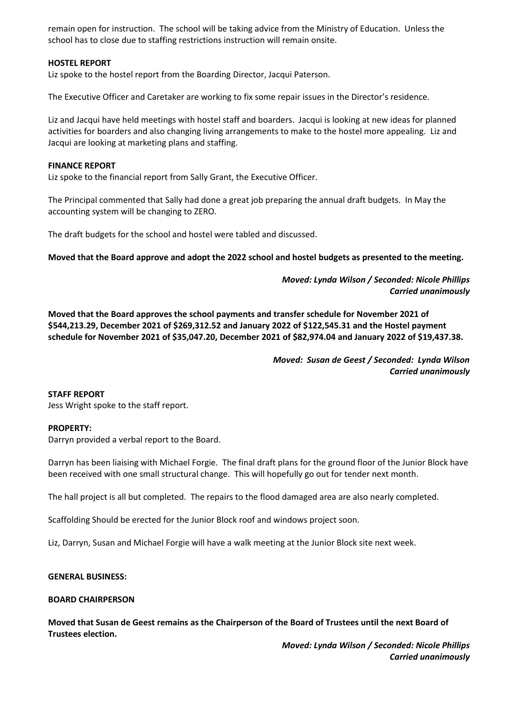remain open for instruction. The school will be taking advice from the Ministry of Education. Unless the school has to close due to staffing restrictions instruction will remain onsite.

## **HOSTEL REPORT**

Liz spoke to the hostel report from the Boarding Director, Jacqui Paterson.

The Executive Officer and Caretaker are working to fix some repair issues in the Director's residence.

Liz and Jacqui have held meetings with hostel staff and boarders. Jacqui is looking at new ideas for planned activities for boarders and also changing living arrangements to make to the hostel more appealing. Liz and Jacqui are looking at marketing plans and staffing.

## **FINANCE REPORT**

Liz spoke to the financial report from Sally Grant, the Executive Officer.

The Principal commented that Sally had done a great job preparing the annual draft budgets. In May the accounting system will be changing to ZERO.

The draft budgets for the school and hostel were tabled and discussed.

**Moved that the Board approve and adopt the 2022 school and hostel budgets as presented to the meeting.**

*Moved: Lynda Wilson / Seconded: Nicole Phillips Carried unanimously*

**Moved that the Board approves the school payments and transfer schedule for November 2021 of \$544,213.29, December 2021 of \$269,312.52 and January 2022 of \$122,545.31 and the Hostel payment schedule for November 2021 of \$35,047.20, December 2021 of \$82,974.04 and January 2022 of \$19,437.38.**

> *Moved: Susan de Geest / Seconded: Lynda Wilson Carried unanimously*

## **STAFF REPORT**

Jess Wright spoke to the staff report.

## **PROPERTY:**

Darryn provided a verbal report to the Board.

Darryn has been liaising with Michael Forgie. The final draft plans for the ground floor of the Junior Block have been received with one small structural change. This will hopefully go out for tender next month.

The hall project is all but completed. The repairs to the flood damaged area are also nearly completed.

Scaffolding Should be erected for the Junior Block roof and windows project soon.

Liz, Darryn, Susan and Michael Forgie will have a walk meeting at the Junior Block site next week.

## **GENERAL BUSINESS:**

## **BOARD CHAIRPERSON**

**Moved that Susan de Geest remains as the Chairperson of the Board of Trustees until the next Board of Trustees election.**

> *Moved: Lynda Wilson / Seconded: Nicole Phillips Carried unanimously*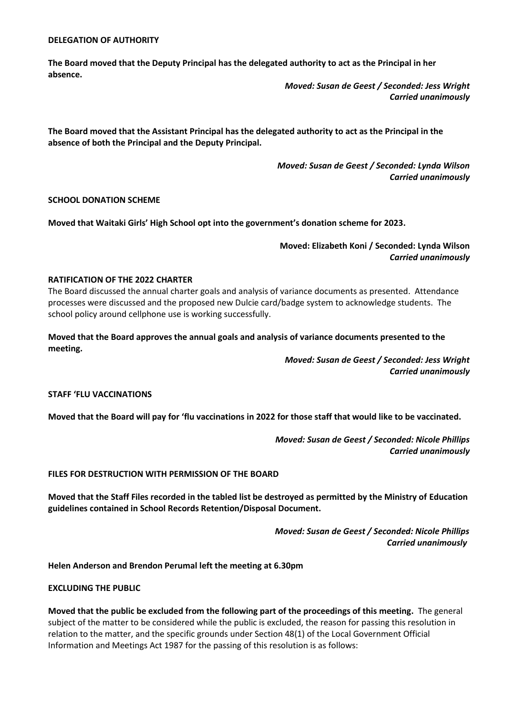#### **DELEGATION OF AUTHORITY**

**The Board moved that the Deputy Principal has the delegated authority to act as the Principal in her absence.**

> *Moved: Susan de Geest / Seconded: Jess Wright Carried unanimously*

**The Board moved that the Assistant Principal has the delegated authority to act as the Principal in the absence of both the Principal and the Deputy Principal.**

> *Moved: Susan de Geest / Seconded: Lynda Wilson Carried unanimously*

# **SCHOOL DONATION SCHEME**

**Moved that Waitaki Girls' High School opt into the government's donation scheme for 2023.** 

# **Moved: Elizabeth Koni / Seconded: Lynda Wilson** *Carried unanimously*

#### **RATIFICATION OF THE 2022 CHARTER**

The Board discussed the annual charter goals and analysis of variance documents as presented. Attendance processes were discussed and the proposed new Dulcie card/badge system to acknowledge students. The school policy around cellphone use is working successfully.

**Moved that the Board approves the annual goals and analysis of variance documents presented to the meeting.** 

> *Moved: Susan de Geest / Seconded: Jess Wright Carried unanimously*

#### **STAFF 'FLU VACCINATIONS**

**Moved that the Board will pay for 'flu vaccinations in 2022 for those staff that would like to be vaccinated.**

*Moved: Susan de Geest / Seconded: Nicole Phillips Carried unanimously*

#### **FILES FOR DESTRUCTION WITH PERMISSION OF THE BOARD**

**Moved that the Staff Files recorded in the tabled list be destroyed as permitted by the Ministry of Education guidelines contained in School Records Retention/Disposal Document.**

> *Moved: Susan de Geest / Seconded: Nicole Phillips Carried unanimously*

**Helen Anderson and Brendon Perumal left the meeting at 6.30pm**

#### **EXCLUDING THE PUBLIC**

**Moved that the public be excluded from the following part of the proceedings of this meeting.** The general subject of the matter to be considered while the public is excluded, the reason for passing this resolution in relation to the matter, and the specific grounds under Section 48(1) of the Local Government Official Information and Meetings Act 1987 for the passing of this resolution is as follows: